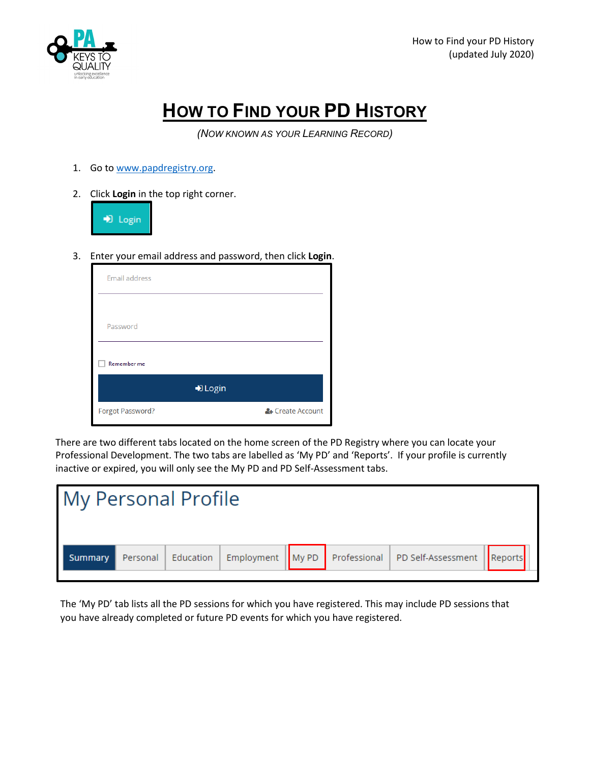

## **HOW TO FIND YOUR PD HISTORY**

*(NOW KNOWN AS YOUR LEARNING RECORD)*

- 1. Go to [www.papdregistry.org.](http://www.papdregistry.org/)
- 2. Click **Login** in the top right corner.



3. Enter your email address and password, then click **Login**.

| <b>Email address</b> |         |                  |
|----------------------|---------|------------------|
|                      |         |                  |
| Password             |         |                  |
| Remember me          |         |                  |
|                      | D Login |                  |
| Forgot Password?     |         | & Create Account |

There are two different tabs located on the home screen of the PD Registry where you can locate your Professional Development. The two tabs are labelled as 'My PD' and 'Reports'. If your profile is currently inactive or expired, you will only see the My PD and PD Self-Assessment tabs.

| <b>My Personal Profile</b> |  |  |                                                                                         |  |
|----------------------------|--|--|-----------------------------------------------------------------------------------------|--|
| Summary                    |  |  | Personal   Education   Employment   My PD   Professional   PD Self-Assessment   Reports |  |

The 'My PD' tab lists all the PD sessions for which you have registered. This may include PD sessions that you have already completed or future PD events for which you have registered.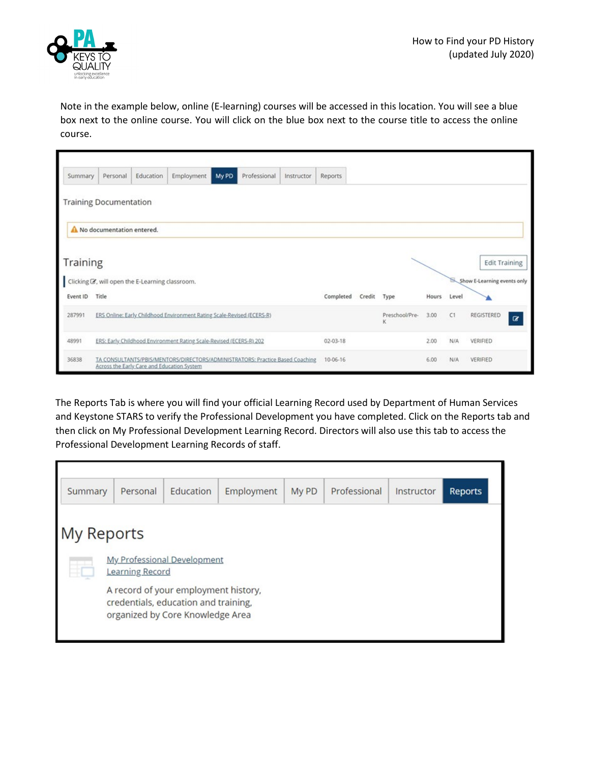

Note in the example below, online (E-learning) courses will be accessed in this location. You will see a blue box next to the online course. You will click on the blue box next to the course title to access the online course.

| Summary  | Personal                                                                                                                    | Education                                                  | Employment | My PD | Professional   | Instructor | Reports   |                     |      |          |            |                             |                      |
|----------|-----------------------------------------------------------------------------------------------------------------------------|------------------------------------------------------------|------------|-------|----------------|------------|-----------|---------------------|------|----------|------------|-----------------------------|----------------------|
|          | <b>Training Documentation</b>                                                                                               |                                                            |            |       |                |            |           |                     |      |          |            |                             |                      |
|          | No documentation entered.                                                                                                   |                                                            |            |       |                |            |           |                     |      |          |            |                             |                      |
| Training |                                                                                                                             |                                                            |            |       |                |            |           |                     |      |          |            |                             | <b>Edit Training</b> |
|          |                                                                                                                             | Clicking $\mathbb Z$ , will open the E-Learning classroom. |            |       |                |            |           |                     |      |          |            | Show E-Learning events only |                      |
| Event ID | Title                                                                                                                       |                                                            |            |       |                |            | Completed | Credit              | Type | Hours    | Level      |                             |                      |
| 287991   | ERS Online: Early Childhood Environment Rating Scale-Revised (ECERS-R)                                                      |                                                            |            |       |                |            |           | Preschool/Pre-<br>κ | 3.00 | C1       | REGISTERED | $\alpha$                    |                      |
| 48991    | ERS: Early Childhood Environment Rating Scale-Revised (ECERS-R) 202                                                         |                                                            |            |       | $02 - 03 - 18$ |            |           | 2.00                | N/A  | VERIFIED |            |                             |                      |
| 36838    | TA CONSULTANTS/PBIS/MENTORS/DIRECTORS/ADMINISTRATORS: Practice Based Coaching<br>Across the Early Care and Education System |                                                            |            |       | 10-06-16       |            |           | 6.00                | N/A  | VERIFIED |            |                             |                      |

The Reports Tab is where you will find your official Learning Record used by Department of Human Services and Keystone STARS to verify the Professional Development you have completed. Click on the Reports tab and then click on My Professional Development Learning Record. Directors will also use this tab to access the Professional Development Learning Records of staff.

| Summary    | Personal                                                                                                         | Education | Employment | My PD | Professional | Instructor | <b>Reports</b> |  |  |
|------------|------------------------------------------------------------------------------------------------------------------|-----------|------------|-------|--------------|------------|----------------|--|--|
| My Reports |                                                                                                                  |           |            |       |              |            |                |  |  |
| ⊕          | <b>My Professional Development</b><br>Learning Record                                                            |           |            |       |              |            |                |  |  |
|            | A record of your employment history,<br>credentials, education and training,<br>organized by Core Knowledge Area |           |            |       |              |            |                |  |  |